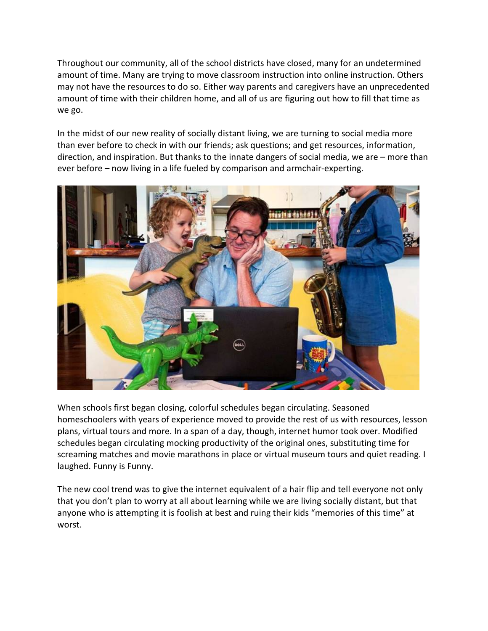Throughout our community, all of the school districts have closed, many for an undetermined amount of time. Many are trying to move classroom instruction into online instruction. Others may not have the resources to do so. Either way parents and caregivers have an unprecedented amount of time with their children home, and all of us are figuring out how to fill that time as we go.

In the midst of our new reality of socially distant living, we are turning to social media more than ever before to check in with our friends; ask questions; and get resources, information, direction, and inspiration. But thanks to the innate dangers of social media, we are – more than ever before – now living in a life fueled by comparison and armchair-experting.



When schools first began closing, colorful schedules began circulating. Seasoned homeschoolers with years of experience moved to provide the rest of us with resources, lesson plans, virtual tours and more. In a span of a day, though, internet humor took over. Modified schedules began circulating mocking productivity of the original ones, substituting time for screaming matches and movie marathons in place or virtual museum tours and quiet reading. I laughed. Funny is Funny.

The new cool trend was to give the internet equivalent of a hair flip and tell everyone not only that you don't plan to worry at all about learning while we are living socially distant, but that anyone who is attempting it is foolish at best and ruing their kids "memories of this time" at worst.